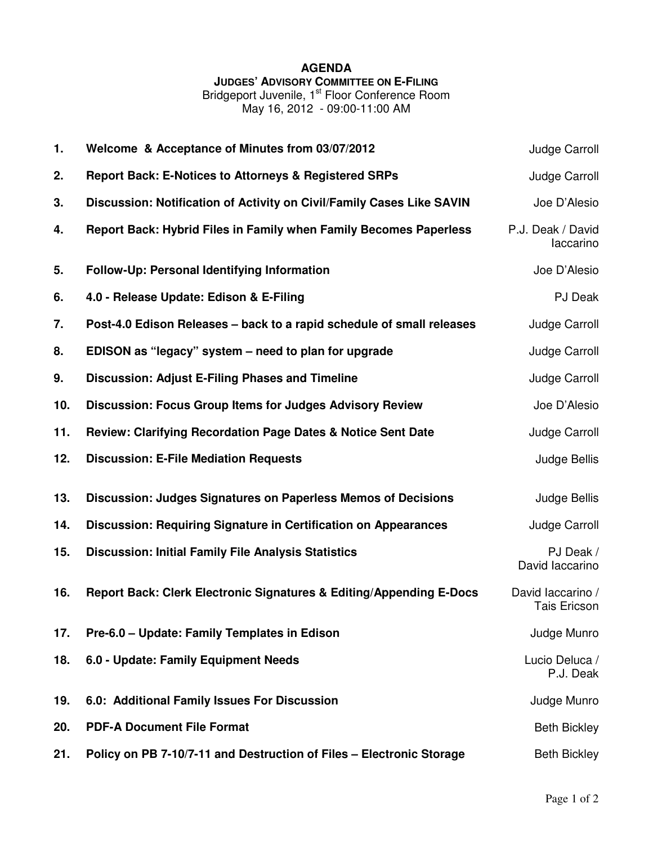## **AGENDA JUDGES' ADVISORY COMMITTEE ON E-FILING**

Bridgeport Juvenile, 1<sup>st</sup> Floor Conference Room May 16, 2012 - 09:00-11:00 AM

| 1.  | Welcome & Acceptance of Minutes from 03/07/2012                          | Judge Carroll                            |
|-----|--------------------------------------------------------------------------|------------------------------------------|
| 2.  | <b>Report Back: E-Notices to Attorneys &amp; Registered SRPs</b>         | Judge Carroll                            |
| 3.  | Discussion: Notification of Activity on Civil/Family Cases Like SAVIN    | Joe D'Alesio                             |
| 4.  | <b>Report Back: Hybrid Files in Family when Family Becomes Paperless</b> | P.J. Deak / David<br>laccarino           |
| 5.  | Follow-Up: Personal Identifying Information                              | Joe D'Alesio                             |
| 6.  | 4.0 - Release Update: Edison & E-Filing                                  | PJ Deak                                  |
| 7.  | Post-4.0 Edison Releases - back to a rapid schedule of small releases    | Judge Carroll                            |
| 8.  | EDISON as "legacy" system – need to plan for upgrade                     | Judge Carroll                            |
| 9.  | <b>Discussion: Adjust E-Filing Phases and Timeline</b>                   | Judge Carroll                            |
| 10. | <b>Discussion: Focus Group Items for Judges Advisory Review</b>          | Joe D'Alesio                             |
| 11. | <b>Review: Clarifying Recordation Page Dates &amp; Notice Sent Date</b>  | Judge Carroll                            |
| 12. | <b>Discussion: E-File Mediation Requests</b>                             | Judge Bellis                             |
| 13. | Discussion: Judges Signatures on Paperless Memos of Decisions            | Judge Bellis                             |
| 14. | <b>Discussion: Requiring Signature in Certification on Appearances</b>   | Judge Carroll                            |
| 15. | <b>Discussion: Initial Family File Analysis Statistics</b>               | PJ Deak /<br>David laccarino             |
| 16. | Report Back: Clerk Electronic Signatures & Editing/Appending E-Docs      | David laccarino /<br><b>Tais Ericson</b> |
| 17. | Pre-6.0 - Update: Family Templates in Edison                             | Judge Munro                              |
| 18. | 6.0 - Update: Family Equipment Needs                                     | Lucio Deluca /<br>P.J. Deak              |
| 19. | 6.0: Additional Family Issues For Discussion                             | Judge Munro                              |
| 20. | <b>PDF-A Document File Format</b>                                        | <b>Beth Bickley</b>                      |
| 21. | Policy on PB 7-10/7-11 and Destruction of Files - Electronic Storage     | <b>Beth Bickley</b>                      |